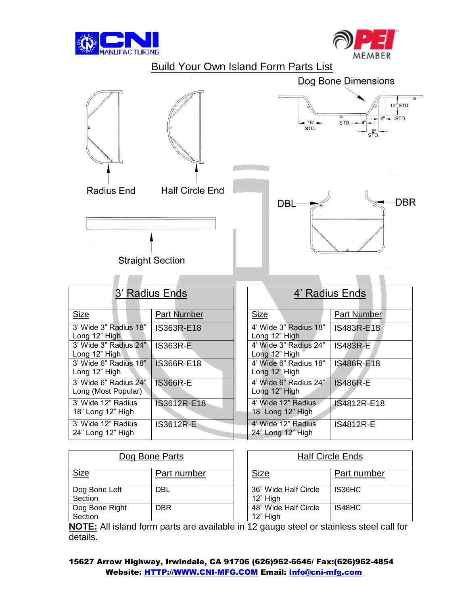





| 3' Radius Ends                               |                    | 4' Radius Ends                          |                    |
|----------------------------------------------|--------------------|-----------------------------------------|--------------------|
| <b>Size</b>                                  | <b>Part Number</b> | <b>Size</b>                             | <b>Part Number</b> |
| 3' Wide 3" Radius 18"<br>Long 12" High       | IS363R-E18         | 4' Wide 3" Radius 18"<br>Long 12" High  | IS483R-E18         |
| 3' Wide 3" Radius 24"<br>Long 12" High       | <b>IS363R-E</b>    | 4' Wide 3" Radius 24"<br>Long 12" High  | <b>IS483R-E</b>    |
| 3' Wide 6" Radius 18"<br>Long 12" High       | IS366R-E18         | 4' Wide 6" Radius 18"<br>Long 12" High  | IS486R-E18         |
| 3' Wide 6" Radius 24"<br>Long (Most Popular) | <b>IS366R-E</b>    | 4' Wide 6" Radius 24"<br>Long 12" High  | <b>IS486R-E</b>    |
| 3' Wide 12" Radius<br>18" Long 12" High      | IS3612R-E18        | 4' Wide 12" Radius<br>18" Long 12" High | IS4812R-E18        |
| 3' Wide 12" Radius<br>24" Long 12" High      | <b>IS3612R-E</b>   | 4' Wide 12" Radius<br>24" Long 12" High | <b>IS4812R-E</b>   |

| Dog Bone Parts            |             | <b>Half Circle Ends</b>          |             |
|---------------------------|-------------|----------------------------------|-------------|
| <u>Size</u>               | Part number | <b>Size</b>                      | Part number |
| Dog Bone Left<br>Section  | DBL         | 36" Wide Half Circle<br>12" High | IS36HC      |
| Dog Bone Right<br>Section | <b>DBR</b>  | 48" Wide Half Circle<br>12" High | IS48HC      |

**NOTE:** All island form parts are available in 12 gauge steel or stainless steel call for details.

15627 Arrow Highway, Irwindale, CA 91706 (626)962-6646/ Fax:(626)962-4854 Website: [HTTP://WWW.CNI-MFG.COM](http://www.cni-mfg.com/) Email: [Info@cni-mfg.com](mailto:Info@cni-mfg.com)